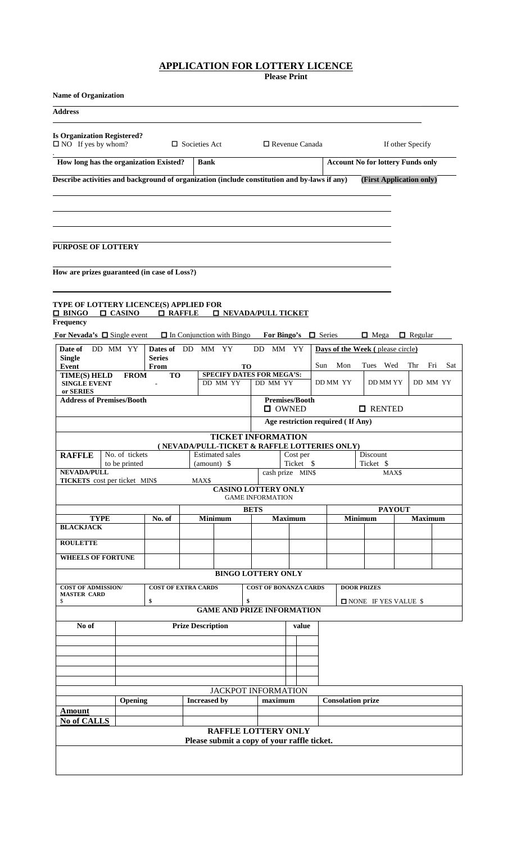# **APPLICATION FOR LOTTERY LICENCE**

**Please Print**

| <b>Name of Organization</b>                                                                                                            |                                                                                  |                                                                        |                                                          |           |                                   |                                          |                          |                |  |
|----------------------------------------------------------------------------------------------------------------------------------------|----------------------------------------------------------------------------------|------------------------------------------------------------------------|----------------------------------------------------------|-----------|-----------------------------------|------------------------------------------|--------------------------|----------------|--|
| <b>Address</b>                                                                                                                         |                                                                                  |                                                                        |                                                          |           |                                   |                                          |                          |                |  |
| <b>Is Organization Registered?</b><br>$\Box$ NO If yes by whom?                                                                        |                                                                                  | $\Box$ Societies Act                                                   | $\Box$ Revenue Canada                                    |           |                                   |                                          | If other Specify         |                |  |
| How long has the organization Existed?                                                                                                 |                                                                                  | <b>Bank</b>                                                            |                                                          |           |                                   | <b>Account No for lottery Funds only</b> |                          |                |  |
| Describe activities and background of organization (include constitution and by-laws if any)                                           |                                                                                  |                                                                        |                                                          |           |                                   |                                          | (First Application only) |                |  |
| <b>PURPOSE OF LOTTERY</b><br>How are prizes guaranteed (in case of Loss?)                                                              |                                                                                  |                                                                        |                                                          |           |                                   |                                          |                          |                |  |
| <b>TYPE OF LOTTERY LICENCE(S) APPLIED FOR</b><br>$\Box$ BINGO<br>$\Box$ CASINO<br><b>Frequency</b><br>For Nevada's $\Box$ Single event | <b>Q</b> RAFFLE                                                                  | $\Box$ In Conjunction with Bingo                                       | <b>O NEVADA/PULL TICKET</b><br>For Bingo's $\Box$ Series |           |                                   | $\Box$ Mega                              | $\Box$ Regular           |                |  |
| Date of<br>DD MM YY                                                                                                                    | Dates of DD                                                                      | MM YY                                                                  | DD<br>МM                                                 | YY        |                                   | Days of the Week (please circle)         |                          |                |  |
| <b>Single</b><br>Event                                                                                                                 | <b>Series</b><br>From                                                            |                                                                        |                                                          |           | Mon<br>Sun                        | Wed<br>Thr<br>Fri<br>Sat<br>Tues         |                          |                |  |
| <b>TIME(S) HELD</b><br><b>SINGLE EVENT</b><br>or SERIES<br><b>Address of Premises/Booth</b>                                            | <b>TO</b><br><b>FROM</b>                                                         | SPECIFY DATES FOR MEGA'S:<br>DD MM YY                                  | <b>TO</b><br>DD MM YY<br><b>Premises/Booth</b>           |           | DD MM YY                          | DD MM YY                                 |                          | DD MM YY       |  |
|                                                                                                                                        |                                                                                  |                                                                        | $\Box$ OWNED                                             |           |                                   | <b>O</b> RENTED                          |                          |                |  |
|                                                                                                                                        |                                                                                  |                                                                        |                                                          |           | Age restriction required (If Any) |                                          |                          |                |  |
|                                                                                                                                        |                                                                                  |                                                                        | <b>TICKET INFORMATION</b>                                |           |                                   |                                          |                          |                |  |
| No. of tickets<br><b>RAFFLE</b>                                                                                                        |                                                                                  | (NEVADA/PULL-TICKET & RAFFLE LOTTERIES ONLY)<br><b>Estimated sales</b> |                                                          | Cost per  |                                   | Discount                                 |                          |                |  |
| to be printed<br><b>NEVADA/PULL</b>                                                                                                    |                                                                                  | $amount)$ \$                                                           | cash prize MIN\$                                         | Ticket \$ |                                   | Ticket \$<br>MAX\$                       |                          |                |  |
| <b>TICKETS</b> cost per ticket MIN\$                                                                                                   |                                                                                  | MAX\$                                                                  | <b>CASINO LOTTERY ONLY</b><br><b>GAME INFORMATION</b>    |           |                                   |                                          |                          |                |  |
|                                                                                                                                        |                                                                                  |                                                                        | <b>BETS</b>                                              |           |                                   | <b>PAYOUT</b>                            |                          |                |  |
| <b>TYPE</b><br><b>BLACKJACK</b>                                                                                                        | No. of                                                                           | <b>Minimum</b>                                                         | <b>Maximum</b>                                           |           |                                   | <b>Minimum</b>                           |                          | <b>Maximum</b> |  |
| <b>ROULETTE</b>                                                                                                                        |                                                                                  |                                                                        |                                                          |           |                                   |                                          |                          |                |  |
| <b>WHEELS OF FORTUNE</b>                                                                                                               |                                                                                  |                                                                        |                                                          |           |                                   |                                          |                          |                |  |
|                                                                                                                                        |                                                                                  |                                                                        | <b>BINGO LOTTERY ONLY</b>                                |           |                                   |                                          |                          |                |  |
| <b>COST OF ADMISSION/</b><br><b>MASTER CARD</b><br>\$                                                                                  | <b>COST OF BONANZA CARDS</b><br><b>DOOR PRIZES</b><br>\$<br>NONE IF YES VALUE \$ |                                                                        |                                                          |           |                                   |                                          |                          |                |  |
|                                                                                                                                        |                                                                                  | <b>GAME AND PRIZE INFORMATION</b>                                      |                                                          |           |                                   |                                          |                          |                |  |
| No of                                                                                                                                  | <b>Prize Description</b>                                                         |                                                                        |                                                          | value     |                                   |                                          |                          |                |  |
|                                                                                                                                        |                                                                                  |                                                                        |                                                          |           |                                   |                                          |                          |                |  |
|                                                                                                                                        |                                                                                  |                                                                        |                                                          |           |                                   |                                          |                          |                |  |
| Opening                                                                                                                                |                                                                                  |                                                                        | JACKPOT INFORMATION                                      |           |                                   |                                          |                          |                |  |
| Amount                                                                                                                                 |                                                                                  | <b>Increased</b> by                                                    | maximum                                                  |           | <b>Consolation prize</b>          |                                          |                          |                |  |
| No of CALLS                                                                                                                            |                                                                                  |                                                                        |                                                          |           |                                   |                                          |                          |                |  |
|                                                                                                                                        |                                                                                  | Please submit a copy of your raffle ticket.                            | <b>RAFFLE LOTTERY ONLY</b>                               |           |                                   |                                          |                          |                |  |
|                                                                                                                                        |                                                                                  |                                                                        |                                                          |           |                                   |                                          |                          |                |  |